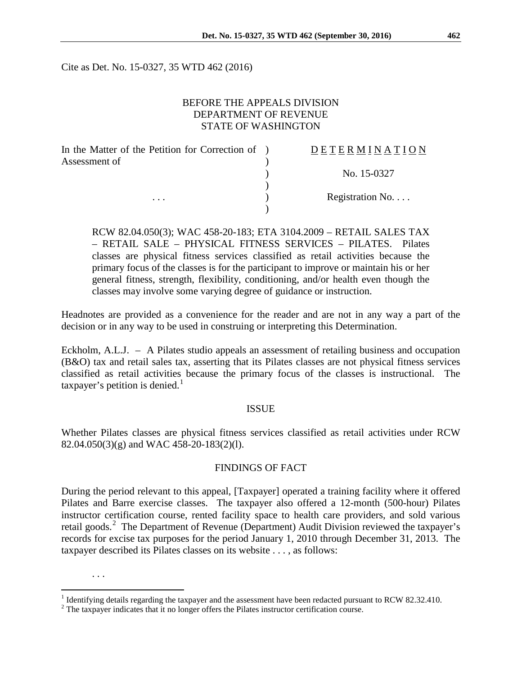Cite as Det. No. 15-0327, 35 WTD 462 (2016)

# BEFORE THE APPEALS DIVISION DEPARTMENT OF REVENUE STATE OF WASHINGTON

| In the Matter of the Petition for Correction of ) | <b>DETERMINATION</b> |
|---------------------------------------------------|----------------------|
| Assessment of                                     |                      |
|                                                   | No. 15-0327          |
|                                                   |                      |
| $\cdots$                                          | Registration No      |
|                                                   |                      |

RCW 82.04.050(3); WAC 458-20-183; ETA 3104.2009 – RETAIL SALES TAX – RETAIL SALE – PHYSICAL FITNESS SERVICES – PILATES. Pilates classes are physical fitness services classified as retail activities because the primary focus of the classes is for the participant to improve or maintain his or her general fitness, strength, flexibility, conditioning, and/or health even though the classes may involve some varying degree of guidance or instruction.

Headnotes are provided as a convenience for the reader and are not in any way a part of the decision or in any way to be used in construing or interpreting this Determination.

Eckholm, A.L.J. – A Pilates studio appeals an assessment of retailing business and occupation (B&O) tax and retail sales tax, asserting that its Pilates classes are not physical fitness services classified as retail activities because the primary focus of the classes is instructional. The taxpayer's petition is denied.<sup>[1](#page-0-0)</sup>

#### ISSUE

Whether Pilates classes are physical fitness services classified as retail activities under RCW 82.04.050(3)(g) and WAC 458-20-183(2)(l).

### FINDINGS OF FACT

During the period relevant to this appeal, [Taxpayer] operated a training facility where it offered Pilates and Barre exercise classes. The taxpayer also offered a 12-month (500-hour) Pilates instructor certification course, rented facility space to health care providers, and sold various retail goods.<sup>[2](#page-0-1)</sup> The Department of Revenue (Department) Audit Division reviewed the taxpayer's records for excise tax purposes for the period January 1, 2010 through December 31, 2013. The taxpayer described its Pilates classes on its website . . . , as follows:

. . .

<span id="page-0-0"></span><sup>&</sup>lt;sup>1</sup> Identifying details regarding the taxpayer and the assessment have been redacted pursuant to RCW 82.32.410. <sup>2</sup> The taxpayer indicates that it no longer offers the Pilates instructor certification course.

<span id="page-0-1"></span>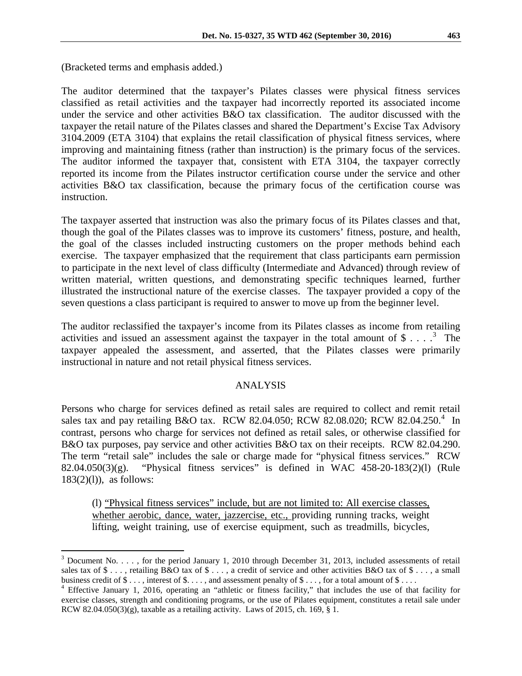(Bracketed terms and emphasis added.)

The auditor determined that the taxpayer's Pilates classes were physical fitness services classified as retail activities and the taxpayer had incorrectly reported its associated income under the service and other activities B&O tax classification. The auditor discussed with the taxpayer the retail nature of the Pilates classes and shared the Department's Excise Tax Advisory 3104.2009 (ETA 3104) that explains the retail classification of physical fitness services, where improving and maintaining fitness (rather than instruction) is the primary focus of the services. The auditor informed the taxpayer that, consistent with ETA 3104, the taxpayer correctly reported its income from the Pilates instructor certification course under the service and other activities B&O tax classification, because the primary focus of the certification course was instruction.

The taxpayer asserted that instruction was also the primary focus of its Pilates classes and that, though the goal of the Pilates classes was to improve its customers' fitness, posture, and health, the goal of the classes included instructing customers on the proper methods behind each exercise. The taxpayer emphasized that the requirement that class participants earn permission to participate in the next level of class difficulty (Intermediate and Advanced) through review of written material, written questions, and demonstrating specific techniques learned, further illustrated the instructional nature of the exercise classes. The taxpayer provided a copy of the seven questions a class participant is required to answer to move up from the beginner level.

The auditor reclassified the taxpayer's income from its Pilates classes as income from retailing activities and issued an assessment against the taxpayer in the total amount of  $\$\ldots$ <sup>[3](#page-1-0)</sup> The taxpayer appealed the assessment, and asserted, that the Pilates classes were primarily instructional in nature and not retail physical fitness services.

## ANALYSIS

Persons who charge for services defined as retail sales are required to collect and remit retail sales tax and pay retailing B&O tax. RCW 82.0[4](#page-1-1).050; RCW 82.08.020; RCW 82.04.250.<sup>4</sup> In contrast, persons who charge for services not defined as retail sales, or otherwise classified for B&O tax purposes, pay service and other activities B&O tax on their receipts. RCW 82.04.290. The term "retail sale" includes the sale or charge made for "physical fitness services." RCW 82.04.050(3)(g). "Physical fitness services" is defined in WAC 458-20-183(2)(l) (Rule  $183(2)(1)$ , as follows:

(l) "Physical fitness services" include, but are not limited to: All exercise classes, whether aerobic, dance, water, jazzercise, etc., providing running tracks, weight lifting, weight training, use of exercise equipment, such as treadmills, bicycles,

<span id="page-1-0"></span><sup>&</sup>lt;sup>3</sup> Document No. . . . , for the period January 1, 2010 through December 31, 2013, included assessments of retail sales tax of  $\$\ldots$ , retailing B&O tax of  $\$\ldots$ , a credit of service and other activities B&O tax of  $\$\ldots$ , a small business credit of  $\$\dots$ , interest of  $\$\dots$ , and assessment penalty of  $\$\dots$ , for a total amount of  $\$\dots$ .<br><sup>4</sup> Effective January 1, 2016, operating an "athletic or fitness facility," that includes the use of that facility

<span id="page-1-1"></span>exercise classes, strength and conditioning programs, or the use of Pilates equipment, constitutes a retail sale under RCW 82.04.050(3)(g), taxable as a retailing activity. Laws of 2015, ch. 169,  $\S$  1.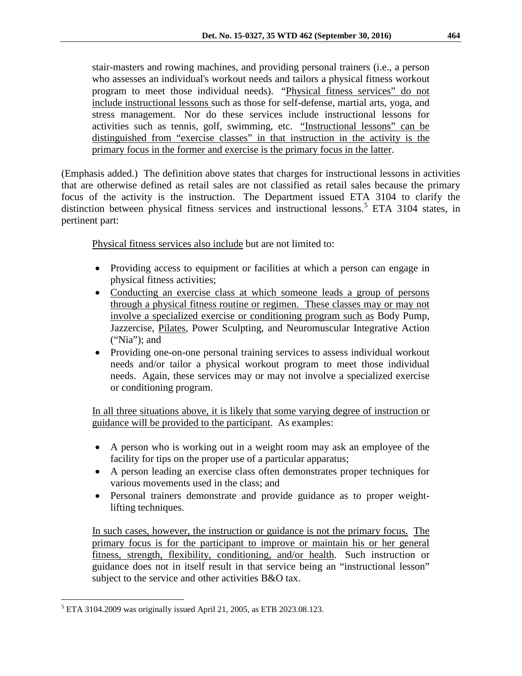stair-masters and rowing machines, and providing personal trainers (i.e., a person who assesses an individual's workout needs and tailors a physical fitness workout program to meet those individual needs). "Physical fitness services" do not include instructional lessons such as those for self-defense, martial arts, yoga, and stress management. Nor do these services include instructional lessons for activities such as tennis, golf, swimming, etc. "Instructional lessons" can be distinguished from "exercise classes" in that instruction in the activity is the primary focus in the former and exercise is the primary focus in the latter.

(Emphasis added.) The definition above states that charges for instructional lessons in activities that are otherwise defined as retail sales are not classified as retail sales because the primary focus of the activity is the instruction. The Department issued ETA 3104 to clarify the distinction between physical fitness services and instructional lessons.<sup>[5](#page-2-0)</sup> ETA 3104 states, in pertinent part:

Physical fitness services also include but are not limited to:

- Providing access to equipment or facilities at which a person can engage in physical fitness activities;
- Conducting an exercise class at which someone leads a group of persons through a physical fitness routine or regimen. These classes may or may not involve a specialized exercise or conditioning program such as Body Pump, Jazzercise, Pilates, Power Sculpting, and Neuromuscular Integrative Action ("Nia"); and
- Providing one-on-one personal training services to assess individual workout needs and/or tailor a physical workout program to meet those individual needs. Again, these services may or may not involve a specialized exercise or conditioning program.

In all three situations above, it is likely that some varying degree of instruction or guidance will be provided to the participant. As examples:

- A person who is working out in a weight room may ask an employee of the facility for tips on the proper use of a particular apparatus;
- A person leading an exercise class often demonstrates proper techniques for various movements used in the class; and
- Personal trainers demonstrate and provide guidance as to proper weightlifting techniques.

In such cases, however, the instruction or guidance is not the primary focus. The primary focus is for the participant to improve or maintain his or her general fitness, strength, flexibility, conditioning, and/or health. Such instruction or guidance does not in itself result in that service being an "instructional lesson" subject to the service and other activities B&O tax.

<span id="page-2-0"></span> <sup>5</sup> ETA 3104.2009 was originally issued April 21, 2005, as ETB 2023.08.123.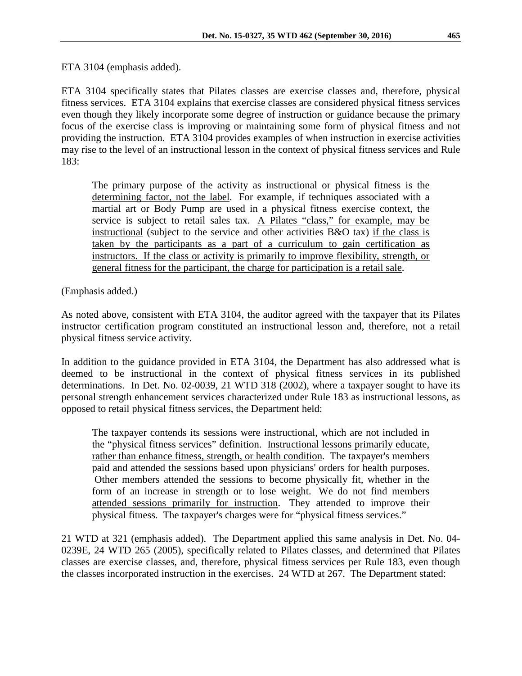ETA 3104 (emphasis added).

ETA 3104 specifically states that Pilates classes are exercise classes and, therefore, physical fitness services. ETA 3104 explains that exercise classes are considered physical fitness services even though they likely incorporate some degree of instruction or guidance because the primary focus of the exercise class is improving or maintaining some form of physical fitness and not providing the instruction. ETA 3104 provides examples of when instruction in exercise activities may rise to the level of an instructional lesson in the context of physical fitness services and Rule 183:

The primary purpose of the activity as instructional or physical fitness is the determining factor, not the label. For example, if techniques associated with a martial art or Body Pump are used in a physical fitness exercise context, the service is subject to retail sales tax. A Pilates "class," for example, may be instructional (subject to the service and other activities B&O tax) if the class is taken by the participants as a part of a curriculum to gain certification as instructors. If the class or activity is primarily to improve flexibility, strength, or general fitness for the participant, the charge for participation is a retail sale.

(Emphasis added.)

As noted above, consistent with ETA 3104, the auditor agreed with the taxpayer that its Pilates instructor certification program constituted an instructional lesson and, therefore, not a retail physical fitness service activity.

In addition to the guidance provided in ETA 3104, the Department has also addressed what is deemed to be instructional in the context of physical fitness services in its published determinations. In Det. No. 02-0039, 21 WTD 318 (2002), where a taxpayer sought to have its personal strength enhancement services characterized under Rule 183 as instructional lessons, as opposed to retail physical fitness services, the Department held:

The taxpayer contends its sessions were instructional, which are not included in the "physical fitness services" definition. Instructional lessons primarily educate, rather than enhance fitness, strength, or health condition. The taxpayer's members paid and attended the sessions based upon physicians' orders for health purposes. Other members attended the sessions to become physically fit, whether in the form of an increase in strength or to lose weight. We do not find members attended sessions primarily for instruction. They attended to improve their physical fitness. The taxpayer's charges were for "physical fitness services."

21 WTD at 321 (emphasis added). The Department applied this same analysis in Det. No. 04- 0239E, 24 WTD 265 (2005), specifically related to Pilates classes, and determined that Pilates classes are exercise classes, and, therefore, physical fitness services per Rule 183, even though the classes incorporated instruction in the exercises. 24 WTD at 267. The Department stated: